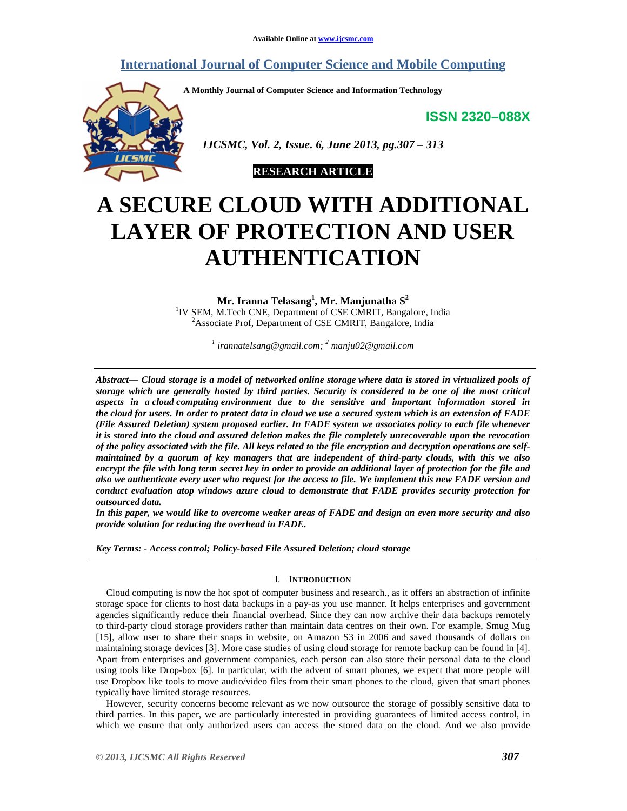## **International Journal of Computer Science and Mobile Computing**

**A Monthly Journal of Computer Science and Information Technology** 

**ISSN 2320–088X**



 *IJCSMC, Vol. 2, Issue. 6, June 2013, pg.307 – 313* 



# **A SECURE CLOUD WITH ADDITIONAL LAYER OF PROTECTION AND USER AUTHENTICATION**

**Mr. Iranna Telasang<sup>1</sup> , Mr. Manjunatha S<sup>2</sup>** <sup>1</sup>IV SEM, M.Tech CNE, Department of CSE CMRIT, Bangalore, India <sup>2</sup>Associate Prof, Department of CSE CMRIT, Bangalore, India

*1 irannatelsang@gmail.com; <sup>2</sup> manju02@gmail.com* 

*Abstract— Cloud storage is a model of networked online storage where data is stored in virtualized pools of storage which are generally hosted by third parties. Security is considered to be one of the most critical aspects in a cloud computing environment due to the sensitive and important information stored in the cloud for users. In order to protect data in cloud we use a secured system which is an extension of FADE (File Assured Deletion) system proposed earlier. In FADE system we associates policy to each file whenever it is stored into the cloud and assured deletion makes the file completely unrecoverable upon the revocation of the policy associated with the file. All keys related to the file encryption and decryption operations are selfmaintained by a quorum of key managers that are independent of third-party clouds, with this we also encrypt the file with long term secret key in order to provide an additional layer of protection for the file and also we authenticate every user who request for the access to file. We implement this new FADE version and conduct evaluation atop windows azure cloud to demonstrate that FADE provides security protection for outsourced data.* 

*In this paper, we would like to overcome weaker areas of FADE and design an even more security and also provide solution for reducing the overhead in FADE.*

*Key Terms: - Access control; Policy-based File Assured Deletion; cloud storage* 

### I. **INTRODUCTION**

Cloud computing is now the hot spot of computer business and research., as it offers an abstraction of infinite storage space for clients to host data backups in a pay-as you use manner. It helps enterprises and government agencies significantly reduce their financial overhead. Since they can now archive their data backups remotely to third-party cloud storage providers rather than maintain data centres on their own. For example, Smug Mug [15], allow user to share their snaps in website, on Amazon S3 in 2006 and saved thousands of dollars on maintaining storage devices [3]. More case studies of using cloud storage for remote backup can be found in [4]. Apart from enterprises and government companies, each person can also store their personal data to the cloud using tools like Drop-box [6]. In particular, with the advent of smart phones, we expect that more people will use Dropbox like tools to move audio/video files from their smart phones to the cloud, given that smart phones typically have limited storage resources.

However, security concerns become relevant as we now outsource the storage of possibly sensitive data to third parties. In this paper, we are particularly interested in providing guarantees of limited access control, in which we ensure that only authorized users can access the stored data on the cloud. And we also provide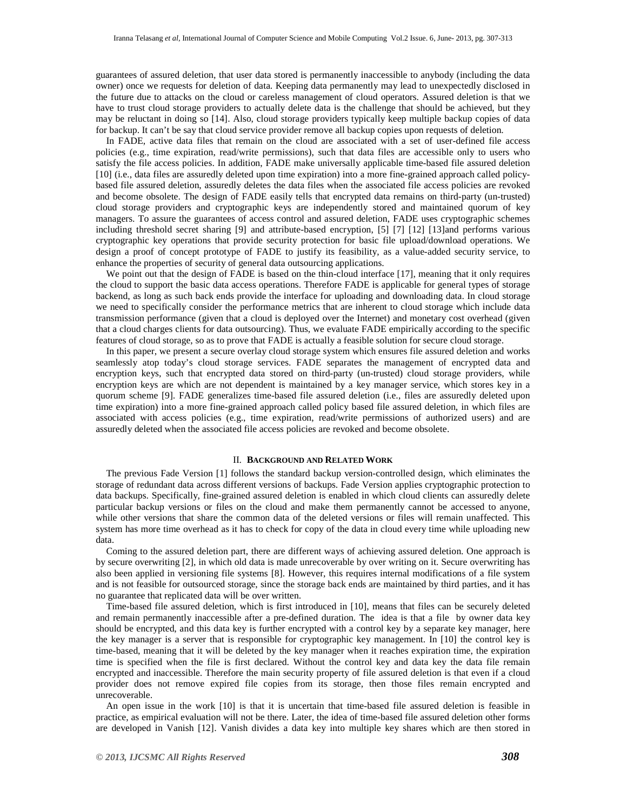guarantees of assured deletion, that user data stored is permanently inaccessible to anybody (including the data owner) once we requests for deletion of data. Keeping data permanently may lead to unexpectedly disclosed in the future due to attacks on the cloud or careless management of cloud operators. Assured deletion is that we have to trust cloud storage providers to actually delete data is the challenge that should be achieved, but they may be reluctant in doing so [14]. Also, cloud storage providers typically keep multiple backup copies of data for backup. It can't be say that cloud service provider remove all backup copies upon requests of deletion.

In FADE, active data files that remain on the cloud are associated with a set of user-defined file access policies (e.g., time expiration, read/write permissions), such that data files are accessible only to users who satisfy the file access policies. In addition, FADE make universally applicable time-based file assured deletion [10] (i.e., data files are assuredly deleted upon time expiration) into a more fine-grained approach called policybased file assured deletion, assuredly deletes the data files when the associated file access policies are revoked and become obsolete. The design of FADE easily tells that encrypted data remains on third-party (un-trusted) cloud storage providers and cryptographic keys are independently stored and maintained quorum of key managers. To assure the guarantees of access control and assured deletion, FADE uses cryptographic schemes including threshold secret sharing [9] and attribute-based encryption, [5] [7] [12] [13]and performs various cryptographic key operations that provide security protection for basic file upload/download operations. We design a proof of concept prototype of FADE to justify its feasibility, as a value-added security service, to enhance the properties of security of general data outsourcing applications.

We point out that the design of FADE is based on the thin-cloud interface [17], meaning that it only requires the cloud to support the basic data access operations. Therefore FADE is applicable for general types of storage backend, as long as such back ends provide the interface for uploading and downloading data. In cloud storage we need to specifically consider the performance metrics that are inherent to cloud storage which include data transmission performance (given that a cloud is deployed over the Internet) and monetary cost overhead (given that a cloud charges clients for data outsourcing). Thus, we evaluate FADE empirically according to the specific features of cloud storage, so as to prove that FADE is actually a feasible solution for secure cloud storage.

In this paper, we present a secure overlay cloud storage system which ensures file assured deletion and works seamlessly atop today's cloud storage services. FADE separates the management of encrypted data and encryption keys, such that encrypted data stored on third-party (un-trusted) cloud storage providers, while encryption keys are which are not dependent is maintained by a key manager service, which stores key in a quorum scheme [9]. FADE generalizes time-based file assured deletion (i.e., files are assuredly deleted upon time expiration) into a more fine-grained approach called policy based file assured deletion, in which files are associated with access policies (e.g., time expiration, read/write permissions of authorized users) and are assuredly deleted when the associated file access policies are revoked and become obsolete.

#### II. **BACKGROUND AND RELATED WORK**

The previous Fade Version [1] follows the standard backup version-controlled design, which eliminates the storage of redundant data across different versions of backups. Fade Version applies cryptographic protection to data backups. Specifically, fine-grained assured deletion is enabled in which cloud clients can assuredly delete particular backup versions or files on the cloud and make them permanently cannot be accessed to anyone, while other versions that share the common data of the deleted versions or files will remain unaffected. This system has more time overhead as it has to check for copy of the data in cloud every time while uploading new data.

Coming to the assured deletion part, there are different ways of achieving assured deletion. One approach is by secure overwriting [2], in which old data is made unrecoverable by over writing on it. Secure overwriting has also been applied in versioning file systems [8]. However, this requires internal modifications of a file system and is not feasible for outsourced storage, since the storage back ends are maintained by third parties, and it has no guarantee that replicated data will be over written.

Time-based file assured deletion, which is first introduced in [10], means that files can be securely deleted and remain permanently inaccessible after a pre-defined duration. The idea is that a file by owner data key should be encrypted, and this data key is further encrypted with a control key by a separate key manager, here the key manager is a server that is responsible for cryptographic key management. In [10] the control key is time-based, meaning that it will be deleted by the key manager when it reaches expiration time, the expiration time is specified when the file is first declared. Without the control key and data key the data file remain encrypted and inaccessible. Therefore the main security property of file assured deletion is that even if a cloud provider does not remove expired file copies from its storage, then those files remain encrypted and unrecoverable.

An open issue in the work [10] is that it is uncertain that time-based file assured deletion is feasible in practice, as empirical evaluation will not be there. Later, the idea of time-based file assured deletion other forms are developed in Vanish [12]. Vanish divides a data key into multiple key shares which are then stored in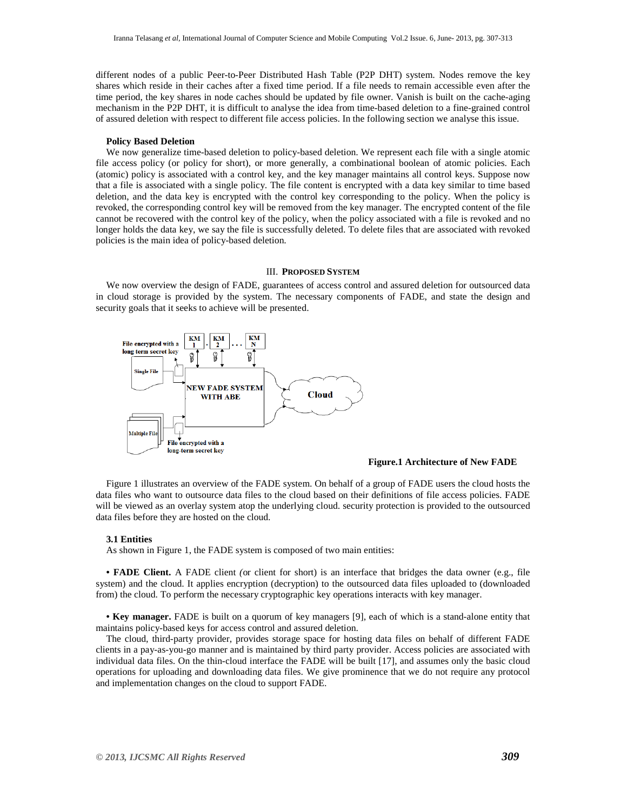different nodes of a public Peer-to-Peer Distributed Hash Table (P2P DHT) system. Nodes remove the key shares which reside in their caches after a fixed time period. If a file needs to remain accessible even after the time period, the key shares in node caches should be updated by file owner. Vanish is built on the cache-aging mechanism in the P2P DHT, it is difficult to analyse the idea from time-based deletion to a fine-grained control of assured deletion with respect to different file access policies. In the following section we analyse this issue.

#### **Policy Based Deletion**

We now generalize time-based deletion to policy-based deletion. We represent each file with a single atomic file access policy (or policy for short), or more generally, a combinational boolean of atomic policies. Each (atomic) policy is associated with a control key, and the key manager maintains all control keys. Suppose now that a file is associated with a single policy. The file content is encrypted with a data key similar to time based deletion, and the data key is encrypted with the control key corresponding to the policy. When the policy is revoked, the corresponding control key will be removed from the key manager. The encrypted content of the file cannot be recovered with the control key of the policy, when the policy associated with a file is revoked and no longer holds the data key, we say the file is successfully deleted. To delete files that are associated with revoked policies is the main idea of policy-based deletion.

## III. **PROPOSED SYSTEM**

We now overview the design of FADE, guarantees of access control and assured deletion for outsourced data in cloud storage is provided by the system. The necessary components of FADE, and state the design and security goals that it seeks to achieve will be presented.



## **Figure.1 Architecture of New FADE**

Figure 1 illustrates an overview of the FADE system. On behalf of a group of FADE users the cloud hosts the data files who want to outsource data files to the cloud based on their definitions of file access policies. FADE will be viewed as an overlay system atop the underlying cloud. security protection is provided to the outsourced data files before they are hosted on the cloud.

#### **3.1 Entities**

As shown in Figure 1, the FADE system is composed of two main entities:

**• FADE Client.** A FADE client *(*or client for short) is an interface that bridges the data owner (e.g., file system) and the cloud. It applies encryption (decryption) to the outsourced data files uploaded to (downloaded from) the cloud. To perform the necessary cryptographic key operations interacts with key manager.

**• Key manager.** FADE is built on a quorum of key managers [9], each of which is a stand-alone entity that maintains policy-based keys for access control and assured deletion.

The cloud, third-party provider, provides storage space for hosting data files on behalf of different FADE clients in a pay-as-you-go manner and is maintained by third party provider. Access policies are associated with individual data files. On the thin-cloud interface the FADE will be built [17], and assumes only the basic cloud operations for uploading and downloading data files. We give prominence that we do not require any protocol and implementation changes on the cloud to support FADE.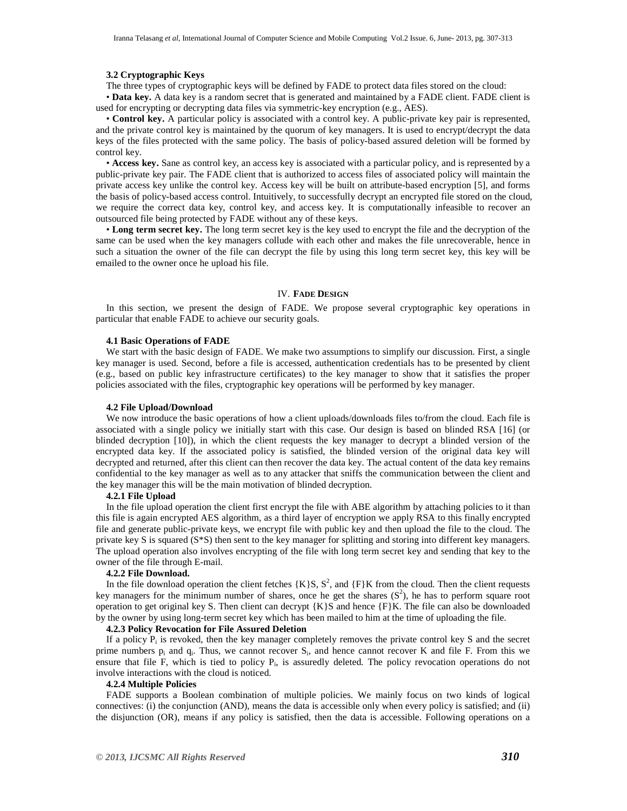#### **3.2 Cryptographic Keys**

The three types of cryptographic keys will be defined by FADE to protect data files stored on the cloud:

• **Data key.** A data key is a random secret that is generated and maintained by a FADE client. FADE client is used for encrypting or decrypting data files via symmetric-key encryption (e.g., AES).

• **Control key.** A particular policy is associated with a control key. A public-private key pair is represented, and the private control key is maintained by the quorum of key managers. It is used to encrypt/decrypt the data keys of the files protected with the same policy. The basis of policy-based assured deletion will be formed by control key.

• **Access key.** Sane as control key, an access key is associated with a particular policy, and is represented by a public-private key pair. The FADE client that is authorized to access files of associated policy will maintain the private access key unlike the control key. Access key will be built on attribute-based encryption [5], and forms the basis of policy-based access control. Intuitively, to successfully decrypt an encrypted file stored on the cloud, we require the correct data key, control key, and access key. It is computationally infeasible to recover an outsourced file being protected by FADE without any of these keys.

• **Long term secret key.** The long term secret key is the key used to encrypt the file and the decryption of the same can be used when the key managers collude with each other and makes the file unrecoverable, hence in such a situation the owner of the file can decrypt the file by using this long term secret key, this key will be emailed to the owner once he upload his file.

#### IV. **FADE DESIGN**

In this section, we present the design of FADE. We propose several cryptographic key operations in particular that enable FADE to achieve our security goals.

#### **4.1 Basic Operations of FADE**

We start with the basic design of FADE. We make two assumptions to simplify our discussion. First, a single key manager is used. Second, before a file is accessed, authentication credentials has to be presented by client (e.g., based on public key infrastructure certificates) to the key manager to show that it satisfies the proper policies associated with the files, cryptographic key operations will be performed by key manager.

#### **4.2 File Upload/Download**

We now introduce the basic operations of how a client uploads/downloads files to/from the cloud. Each file is associated with a single policy we initially start with this case. Our design is based on blinded RSA [16] (or blinded decryption [10]), in which the client requests the key manager to decrypt a blinded version of the encrypted data key. If the associated policy is satisfied, the blinded version of the original data key will decrypted and returned, after this client can then recover the data key. The actual content of the data key remains confidential to the key manager as well as to any attacker that sniffs the communication between the client and the key manager this will be the main motivation of blinded decryption.

#### **4.2.1 File Upload**

In the file upload operation the client first encrypt the file with ABE algorithm by attaching policies to it than this file is again encrypted AES algorithm, as a third layer of encryption we apply RSA to this finally encrypted file and generate public-private keys, we encrypt file with public key and then upload the file to the cloud. The private key S is squared (S\*S) then sent to the key manager for splitting and storing into different key managers. The upload operation also involves encrypting of the file with long term secret key and sending that key to the owner of the file through E-mail.

## **4.2.2 File Download.**

In the file download operation the client fetches  $\{K\}S$ ,  $S^2$ , and  $\{F\}K$  from the cloud. Then the client requests key managers for the minimum number of shares, once he get the shares  $(S^2)$ , he has to perform square root operation to get original key S. Then client can decrypt  $\{K\}S$  and hence  $\{F\}K$ . The file can also be downloaded by the owner by using long-term secret key which has been mailed to him at the time of uploading the file.

#### **4.2.3 Policy Revocation for File Assured Deletion**

If a policy  $P_i$  is revoked, then the key manager completely removes the private control key S and the secret prime numbers  $p_i$  and  $q_i$ . Thus, we cannot recover  $S_i$ , and hence cannot recover K and file F. From this we ensure that file F, which is tied to policy P<sub>i</sub>, is assuredly deleted. The policy revocation operations do not involve interactions with the cloud is noticed.

#### **4.2.4 Multiple Policies**

FADE supports a Boolean combination of multiple policies. We mainly focus on two kinds of logical connectives: (i) the conjunction (AND), means the data is accessible only when every policy is satisfied; and (ii) the disjunction (OR), means if any policy is satisfied, then the data is accessible. Following operations on a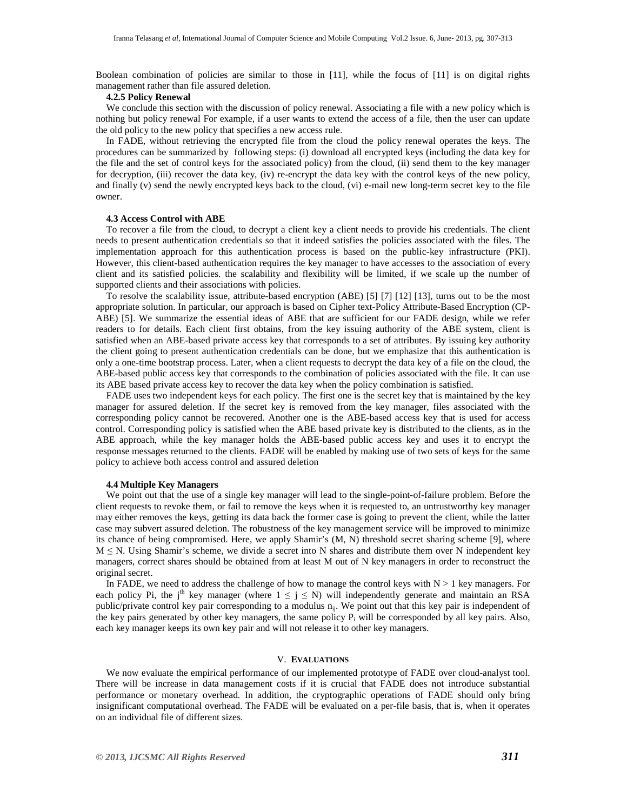Boolean combination of policies are similar to those in [11], while the focus of [11] is on digital rights management rather than file assured deletion.

#### **4.2.5 Policy Renewal**

We conclude this section with the discussion of policy renewal. Associating a file with a new policy which is nothing but policy renewal For example, if a user wants to extend the access of a file, then the user can update the old policy to the new policy that specifies a new access rule.

In FADE, without retrieving the encrypted file from the cloud the policy renewal operates the keys. The procedures can be summarized by following steps: (i) download all encrypted keys (including the data key for the file and the set of control keys for the associated policy) from the cloud, (ii) send them to the key manager for decryption, (iii) recover the data key, (iv) re-encrypt the data key with the control keys of the new policy, and finally (v) send the newly encrypted keys back to the cloud, (vi) e-mail new long-term secret key to the file owner.

#### **4.3 Access Control with ABE**

To recover a file from the cloud, to decrypt a client key a client needs to provide his credentials. The client needs to present authentication credentials so that it indeed satisfies the policies associated with the files. The implementation approach for this authentication process is based on the public-key infrastructure (PKI). However, this client-based authentication requires the key manager to have accesses to the association of every client and its satisfied policies. the scalability and flexibility will be limited, if we scale up the number of supported clients and their associations with policies.

To resolve the scalability issue, attribute-based encryption (ABE) [5] [7] [12] [13], turns out to be the most appropriate solution. In particular, our approach is based on Cipher text-Policy Attribute-Based Encryption (CP-ABE) [5]. We summarize the essential ideas of ABE that are sufficient for our FADE design, while we refer readers to for details. Each client first obtains, from the key issuing authority of the ABE system, client is satisfied when an ABE-based private access key that corresponds to a set of attributes. By issuing key authority the client going to present authentication credentials can be done, but we emphasize that this authentication is only a one-time bootstrap process. Later, when a client requests to decrypt the data key of a file on the cloud, the ABE-based public access key that corresponds to the combination of policies associated with the file. It can use its ABE based private access key to recover the data key when the policy combination is satisfied.

FADE uses two independent keys for each policy. The first one is the secret key that is maintained by the key manager for assured deletion. If the secret key is removed from the key manager, files associated with the corresponding policy cannot be recovered. Another one is the ABE-based access key that is used for access control. Corresponding policy is satisfied when the ABE based private key is distributed to the clients, as in the ABE approach, while the key manager holds the ABE-based public access key and uses it to encrypt the response messages returned to the clients. FADE will be enabled by making use of two sets of keys for the same policy to achieve both access control and assured deletion

#### **4.4 Multiple Key Managers**

We point out that the use of a single key manager will lead to the single-point-of-failure problem. Before the client requests to revoke them, or fail to remove the keys when it is requested to, an untrustworthy key manager may either removes the keys, getting its data back the former case is going to prevent the client, while the latter case may subvert assured deletion. The robustness of the key management service will be improved to minimize its chance of being compromised. Here, we apply Shamir's (M, N) threshold secret sharing scheme [9], where  $M \leq N$ . Using Shamir's scheme, we divide a secret into N shares and distribute them over N independent key managers, correct shares should be obtained from at least M out of N key managers in order to reconstruct the original secret.

In FADE, we need to address the challenge of how to manage the control keys with  $N > 1$  key managers. For each policy Pi, the j<sup>th</sup> key manager (where  $1 \le j \le N$ ) will independently generate and maintain an RSA public/private control key pair corresponding to a modulus n<sub>ij</sub>. We point out that this key pair is independent of the key pairs generated by other key managers, the same policy  $P_i$  will be corresponded by all key pairs. Also, each key manager keeps its own key pair and will not release it to other key managers.

## V. **EVALUATIONS**

We now evaluate the empirical performance of our implemented prototype of FADE over cloud-analyst tool. There will be increase in data management costs if it is crucial that FADE does not introduce substantial performance or monetary overhead. In addition, the cryptographic operations of FADE should only bring insignificant computational overhead. The FADE will be evaluated on a per-file basis, that is, when it operates on an individual file of different sizes.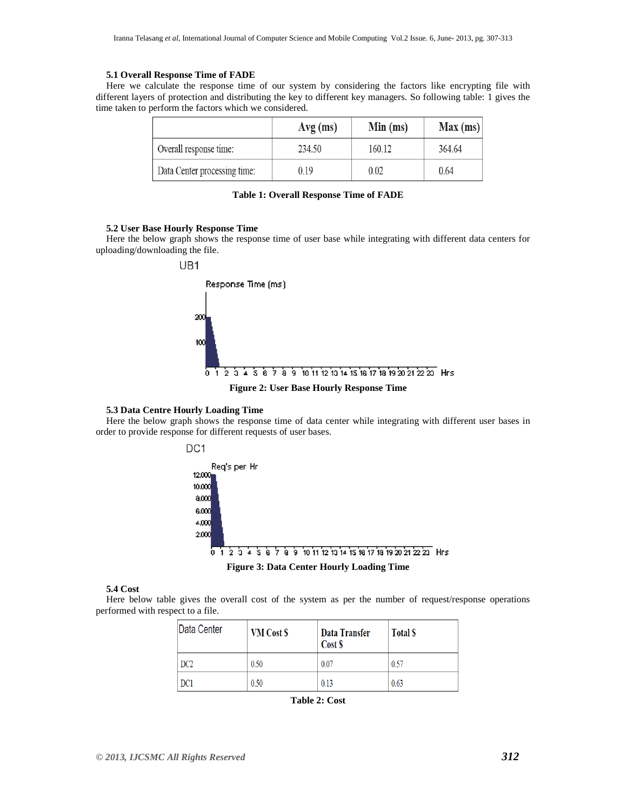#### **5.1 Overall Response Time of FADE**

Here we calculate the response time of our system by considering the factors like encrypting file with different layers of protection and distributing the key to different key managers. So following table: 1 gives the time taken to perform the factors which we considered.

|                              | $Avg$ (ms) | Min (ms) | Max (ms) |
|------------------------------|------------|----------|----------|
| Overall response time:       | 234.50     | 160.12   | 364.64   |
| Data Center processing time: | 0.19       | 0.02     | 0.64     |

|  |  | Table 1: Overall Response Time of FADE |  |  |  |
|--|--|----------------------------------------|--|--|--|
|--|--|----------------------------------------|--|--|--|

#### **5.2 User Base Hourly Response Time**

Here the below graph shows the response time of user base while integrating with different data centers for uploading/downloading the file.



#### **5.3 Data Centre Hourly Loading Time**

Here the below graph shows the response time of data center while integrating with different user bases in order to provide response for different requests of user bases.



## **5.4 Cost**

Here below table gives the overall cost of the system as per the number of request/response operations performed with respect to a file.

| Data Center | <b>VM</b> Cost \$ | Data Transfer<br>Cost \$ | <b>Total S</b> |
|-------------|-------------------|--------------------------|----------------|
| DC2         | 0.50              | 0.07                     | 0.57           |
| DC1         | 0.50              | 0.13                     | 0.63           |

**Table 2: Cost**